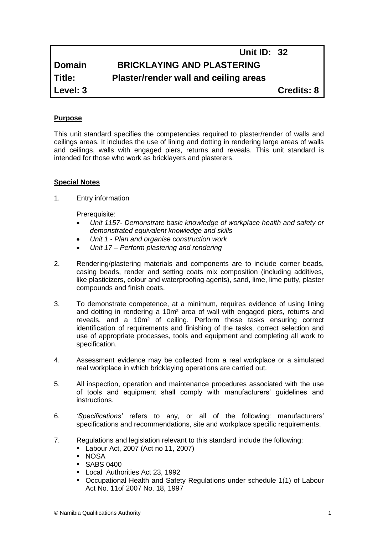|               | <b>Unit ID: 32</b>                    |                   |
|---------------|---------------------------------------|-------------------|
| <b>Domain</b> | <b>BRICKLAYING AND PLASTERING</b>     |                   |
| Title:        | Plaster/render wall and ceiling areas |                   |
| Level: 3      |                                       | <b>Credits: 8</b> |

# **Purpose**

This unit standard specifies the competencies required to plaster/render of walls and ceilings areas. It includes the use of lining and dotting in rendering large areas of walls and ceilings, walls with engaged piers, returns and reveals. This unit standard is intended for those who work as bricklayers and plasterers.

# **Special Notes**

1. Entry information

Prerequisite:

- *Unit 1157- Demonstrate basic knowledge of workplace health and safety or demonstrated equivalent knowledge and skills*
- *Unit 1 - Plan and organise construction work*
- *Unit 17 – Perform plastering and rendering*
- 2. Rendering/plastering materials and components are to include corner beads, casing beads, render and setting coats mix composition (including additives, like plasticizers, colour and waterproofing agents), sand, lime, lime putty, plaster compounds and finish coats.
- 3. To demonstrate competence, at a minimum, requires evidence of using lining and dotting in rendering a 10m² area of wall with engaged piers, returns and reveals, and a 10m² of ceiling. Perform these tasks ensuring correct identification of requirements and finishing of the tasks, correct selection and use of appropriate processes, tools and equipment and completing all work to specification.
- 4. Assessment evidence may be collected from a real workplace or a simulated real workplace in which bricklaying operations are carried out.
- 5. All inspection, operation and maintenance procedures associated with the use of tools and equipment shall comply with manufacturers' guidelines and instructions.
- 6. *'Specifications'* refers to any, or all of the following: manufacturers' specifications and recommendations, site and workplace specific requirements.
- 7. Regulations and legislation relevant to this standard include the following:
	- Labour Act, 2007 (Act no 11, 2007)
	- NOSA
	- **SABS 0400**
	- **Local Authorities Act 23, 1992**
	- Occupational Health and Safety Regulations under schedule 1(1) of Labour Act No. 11of 2007 No. 18, 1997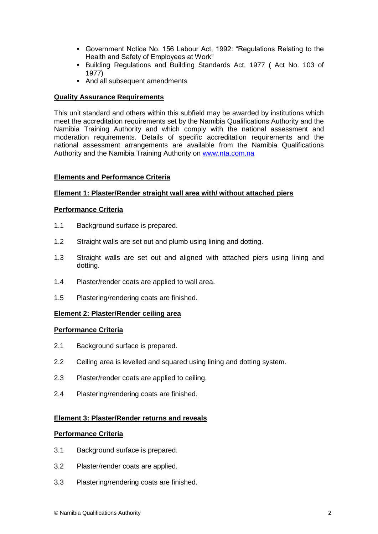- Government Notice No. 156 Labour Act, 1992: "Regulations Relating to the Health and Safety of Employees at Work"
- Building Regulations and Building Standards Act, 1977 ( Act No. 103 of 1977)
- And all subsequent amendments

# **Quality Assurance Requirements**

This unit standard and others within this subfield may be awarded by institutions which meet the accreditation requirements set by the Namibia Qualifications Authority and the Namibia Training Authority and which comply with the national assessment and moderation requirements. Details of specific accreditation requirements and the national assessment arrangements are available from the Namibia Qualifications Authority and the Namibia Training Authority on [www.nta.com.na](http://www.nta.com.na/)

# **Elements and Performance Criteria**

# **Element 1: Plaster/Render straight wall area with/ without attached piers**

# **Performance Criteria**

- 1.1 Background surface is prepared.
- 1.2 Straight walls are set out and plumb using lining and dotting.
- 1.3 Straight walls are set out and aligned with attached piers using lining and dotting.
- 1.4 Plaster/render coats are applied to wall area.
- 1.5 Plastering/rendering coats are finished.

#### **Element 2: Plaster/Render ceiling area**

#### **Performance Criteria**

- 2.1 Background surface is prepared.
- 2.2 Ceiling area is levelled and squared using lining and dotting system.
- 2.3 Plaster/render coats are applied to ceiling.
- 2.4 Plastering/rendering coats are finished.

### **Element 3: Plaster/Render returns and reveals**

#### **Performance Criteria**

- 3.1 Background surface is prepared.
- 3.2 Plaster/render coats are applied.
- 3.3 Plastering/rendering coats are finished.